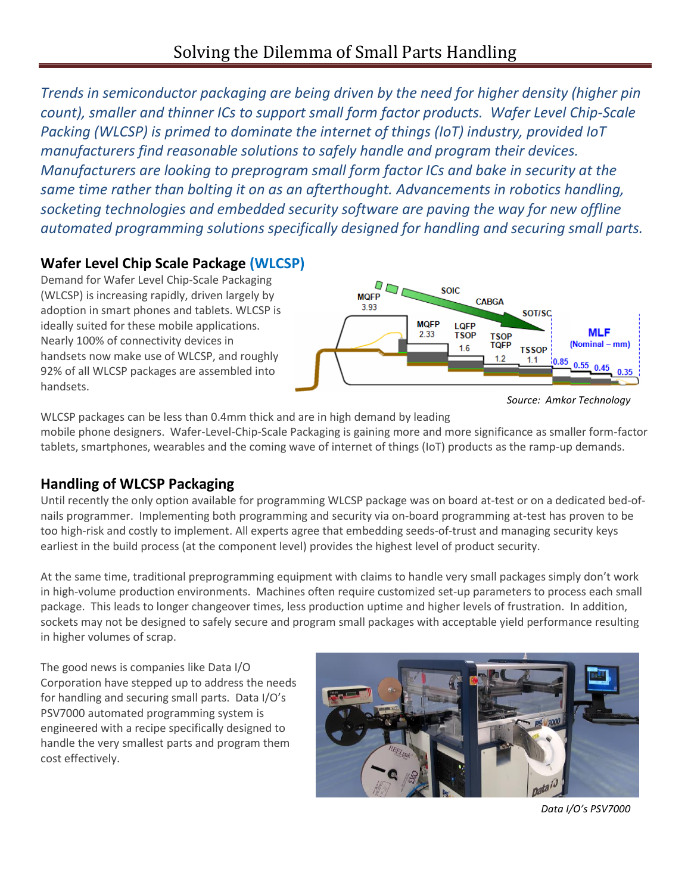*Trends in semiconductor packaging are being driven by the need for higher density (higher pin count), smaller and thinner ICs to support small form factor products. Wafer Level Chip-Scale Packing (WLCSP) is primed to dominate the internet of things (IoT) industry, provided IoT manufacturers find reasonable solutions to safely handle and program their devices. Manufacturers are looking to preprogram small form factor ICs and bake in security at the same time rather than bolting it on as an afterthought. Advancements in robotics handling, socketing technologies and embedded security software are paving the way for new offline automated programming solutions specifically designed for handling and securing small parts.*

# **Wafer Level Chip Scale Package (WLCSP)**

Demand for Wafer Level Chip-Scale Packaging (WLCSP) is increasing rapidly, driven largely by adoption in smart phones and tablets. WLCSP is ideally suited for these mobile applications. Nearly 100% of connectivity devices in handsets now make use of WLCSP, and roughly 92% of all WLCSP packages are assembled into handsets.



*Source: Amkor Technology*

WLCSP packages can be less than 0.4mm thick and are in high demand by leading mobile phone designers. Wafer-Level-Chip-Scale Packaging is gaining more and more significance as smaller form-factor tablets, smartphones, wearables and the coming wave of internet of things (IoT) products as the ramp-up demands.

## **Handling of WLCSP Packaging**

Until recently the only option available for programming WLCSP package was on board at-test or on a dedicated bed-ofnails programmer. Implementing both programming and security via on-board programming at-test has proven to be too high-risk and costly to implement. All experts agree that embedding seeds-of-trust and managing security keys earliest in the build process (at the component level) provides the highest level of product security.

At the same time, traditional preprogramming equipment with claims to handle very small packages simply don't work in high-volume production environments. Machines often require customized set-up parameters to process each small package. This leads to longer changeover times, less production uptime and higher levels of frustration. In addition, sockets may not be designed to safely secure and program small packages with acceptable yield performance resulting in higher volumes of scrap.

The good news is companies like Data I/O Corporation have stepped up to address the needs for handling and securing small parts. Data I/O's PSV7000 automated programming system is engineered with a recipe specifically designed to handle the very smallest parts and program them cost effectively.



*Data I/O's PSV7000*